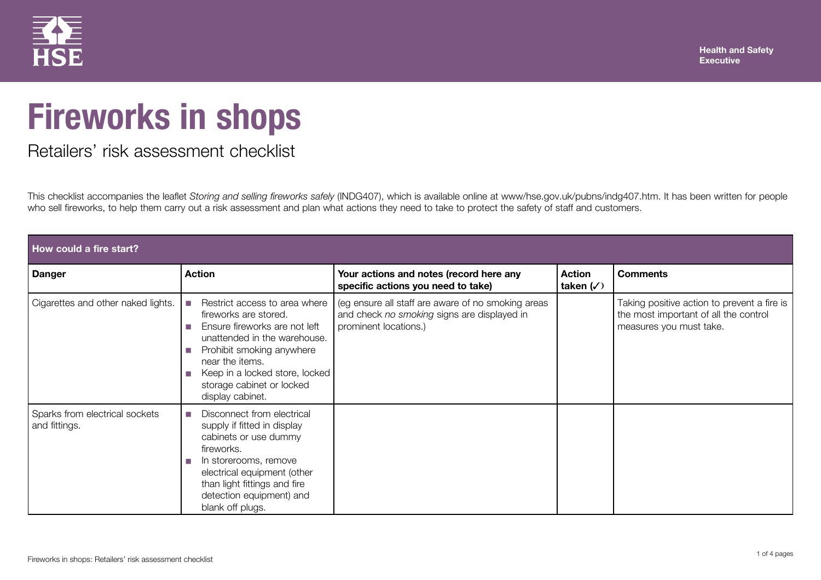

## **Fireworks in shops**

## Retailers' risk assessment checklist

This checklist accompanies the leaflet *Storing and selling fireworks safely* (INDG407), which is available online at www/hse.gov.uk/pubns/indg407.htm. It has been written for people who sell fireworks, to help them carry out a risk assessment and plan what actions they need to take to protect the safety of staff and customers.

| How could a fire start?                         |                                                                                                                                                                                                                                                                  |                                                                                                                            |                                     |                                                                                                                 |  |
|-------------------------------------------------|------------------------------------------------------------------------------------------------------------------------------------------------------------------------------------------------------------------------------------------------------------------|----------------------------------------------------------------------------------------------------------------------------|-------------------------------------|-----------------------------------------------------------------------------------------------------------------|--|
| <b>Danger</b>                                   | <b>Action</b>                                                                                                                                                                                                                                                    | Your actions and notes (record here any<br>specific actions you need to take)                                              | <b>Action</b><br>taken $(\sqrt{2})$ | <b>Comments</b>                                                                                                 |  |
| Cigarettes and other naked lights.              | Restrict access to area where<br>T.<br>fireworks are stored.<br>Ensure fireworks are not left<br>unattended in the warehouse.<br>Prohibit smoking anywhere<br>near the items.<br>Keep in a locked store, locked<br>storage cabinet or locked<br>display cabinet. | (eg ensure all staff are aware of no smoking areas<br>and check no smoking signs are displayed in<br>prominent locations.) |                                     | Taking positive action to prevent a fire is<br>the most important of all the control<br>measures you must take. |  |
| Sparks from electrical sockets<br>and fittings. | Disconnect from electrical<br>supply if fitted in display<br>cabinets or use dummy<br>fireworks.<br>In storerooms, remove<br>electrical equipment (other<br>than light fittings and fire<br>detection equipment) and<br>blank off plugs.                         |                                                                                                                            |                                     |                                                                                                                 |  |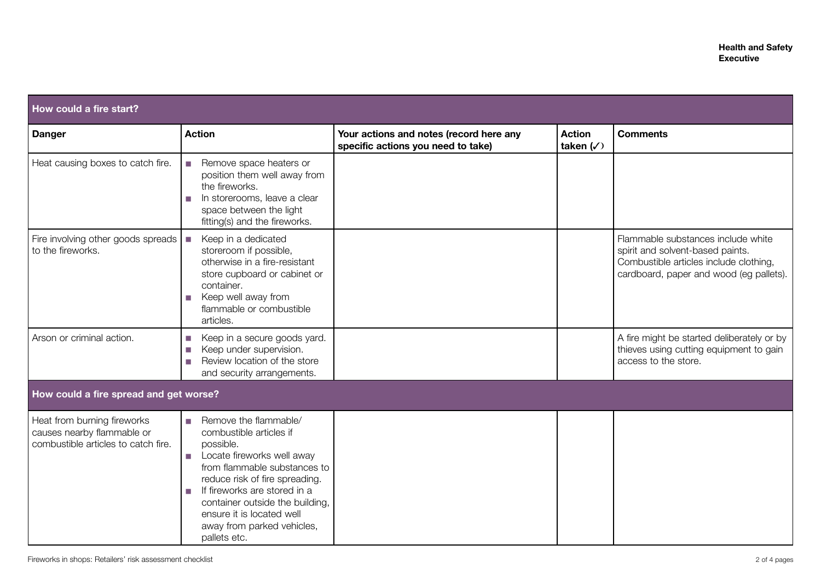| How could a fire start?                                                                          |                                                                                                                                                                                                                                                                                                                   |                                                                               |                                      |                                                                                                                                                             |
|--------------------------------------------------------------------------------------------------|-------------------------------------------------------------------------------------------------------------------------------------------------------------------------------------------------------------------------------------------------------------------------------------------------------------------|-------------------------------------------------------------------------------|--------------------------------------|-------------------------------------------------------------------------------------------------------------------------------------------------------------|
| <b>Danger</b>                                                                                    | <b>Action</b>                                                                                                                                                                                                                                                                                                     | Your actions and notes (record here any<br>specific actions you need to take) | <b>Action</b><br>taken $(\sqrt{ } )$ | <b>Comments</b>                                                                                                                                             |
| Heat causing boxes to catch fire.                                                                | Remove space heaters or<br>T.<br>position them well away from<br>the fireworks.<br>In storerooms, leave a clear<br>space between the light<br>fitting(s) and the fireworks.                                                                                                                                       |                                                                               |                                      |                                                                                                                                                             |
| Fire involving other goods spreads<br>to the fireworks.                                          | Keep in a dedicated<br>×<br>storeroom if possible,<br>otherwise in a fire-resistant<br>store cupboard or cabinet or<br>container.<br>Keep well away from<br>П<br>flammable or combustible<br>articles.                                                                                                            |                                                                               |                                      | Flammable substances include white<br>spirit and solvent-based paints.<br>Combustible articles include clothing,<br>cardboard, paper and wood (eg pallets). |
| Arson or criminal action.                                                                        | Keep in a secure goods yard.<br>H<br>Keep under supervision.<br>П<br>Review location of the store<br>П<br>and security arrangements.                                                                                                                                                                              |                                                                               |                                      | A fire might be started deliberately or by<br>thieves using cutting equipment to gain<br>access to the store.                                               |
| How could a fire spread and get worse?                                                           |                                                                                                                                                                                                                                                                                                                   |                                                                               |                                      |                                                                                                                                                             |
| Heat from burning fireworks<br>causes nearby flammable or<br>combustible articles to catch fire. | Remove the flammable/<br>T.<br>combustible articles if<br>possible.<br>Locate fireworks well away<br>from flammable substances to<br>reduce risk of fire spreading.<br>If fireworks are stored in a<br>container outside the building,<br>ensure it is located well<br>away from parked vehicles,<br>pallets etc. |                                                                               |                                      |                                                                                                                                                             |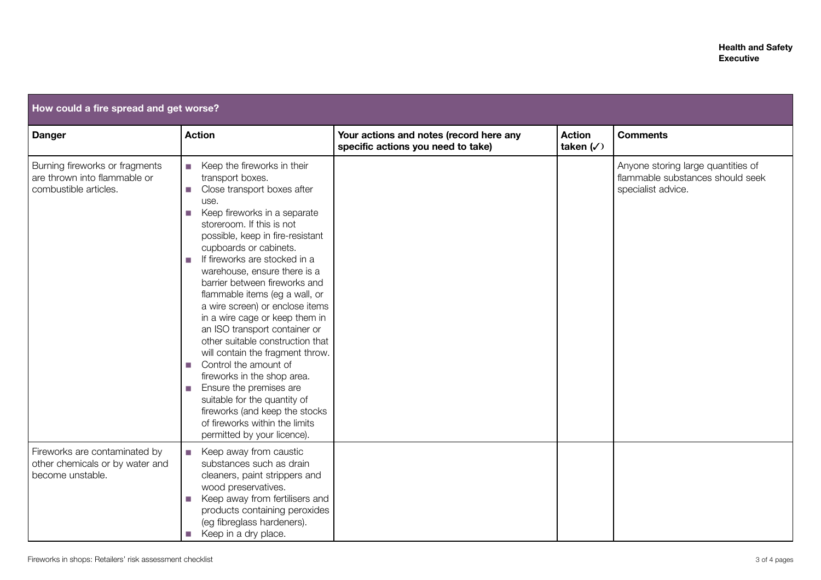| How could a fire spread and get worse?                                                  |                                                                                                                                                                                                                                                                                                                                                                                                                                                                                                                                                                                                                                                                                                                                                                                          |                                                                               |                                      |                                                                                              |  |
|-----------------------------------------------------------------------------------------|------------------------------------------------------------------------------------------------------------------------------------------------------------------------------------------------------------------------------------------------------------------------------------------------------------------------------------------------------------------------------------------------------------------------------------------------------------------------------------------------------------------------------------------------------------------------------------------------------------------------------------------------------------------------------------------------------------------------------------------------------------------------------------------|-------------------------------------------------------------------------------|--------------------------------------|----------------------------------------------------------------------------------------------|--|
| <b>Danger</b>                                                                           | <b>Action</b>                                                                                                                                                                                                                                                                                                                                                                                                                                                                                                                                                                                                                                                                                                                                                                            | Your actions and notes (record here any<br>specific actions you need to take) | <b>Action</b><br>taken $(\sqrt{ } )$ | <b>Comments</b>                                                                              |  |
| Burning fireworks or fragments<br>are thrown into flammable or<br>combustible articles. | Keep the fireworks in their<br>n.<br>transport boxes.<br>Close transport boxes after<br>П<br>use.<br>Keep fireworks in a separate<br>П<br>storeroom. If this is not<br>possible, keep in fire-resistant<br>cupboards or cabinets.<br>If fireworks are stocked in a<br>П<br>warehouse, ensure there is a<br>barrier between fireworks and<br>flammable items (eg a wall, or<br>a wire screen) or enclose items<br>in a wire cage or keep them in<br>an ISO transport container or<br>other suitable construction that<br>will contain the fragment throw.<br>Control the amount of<br>П<br>fireworks in the shop area.<br>Ensure the premises are<br>П<br>suitable for the quantity of<br>fireworks (and keep the stocks<br>of fireworks within the limits<br>permitted by your licence). |                                                                               |                                      | Anyone storing large quantities of<br>flammable substances should seek<br>specialist advice. |  |
| Fireworks are contaminated by<br>other chemicals or by water and<br>become unstable.    | Keep away from caustic<br>H<br>substances such as drain<br>cleaners, paint strippers and<br>wood preservatives.<br>Keep away from fertilisers and<br>products containing peroxides<br>(eg fibreglass hardeners).<br>Keep in a dry place.<br>H                                                                                                                                                                                                                                                                                                                                                                                                                                                                                                                                            |                                                                               |                                      |                                                                                              |  |